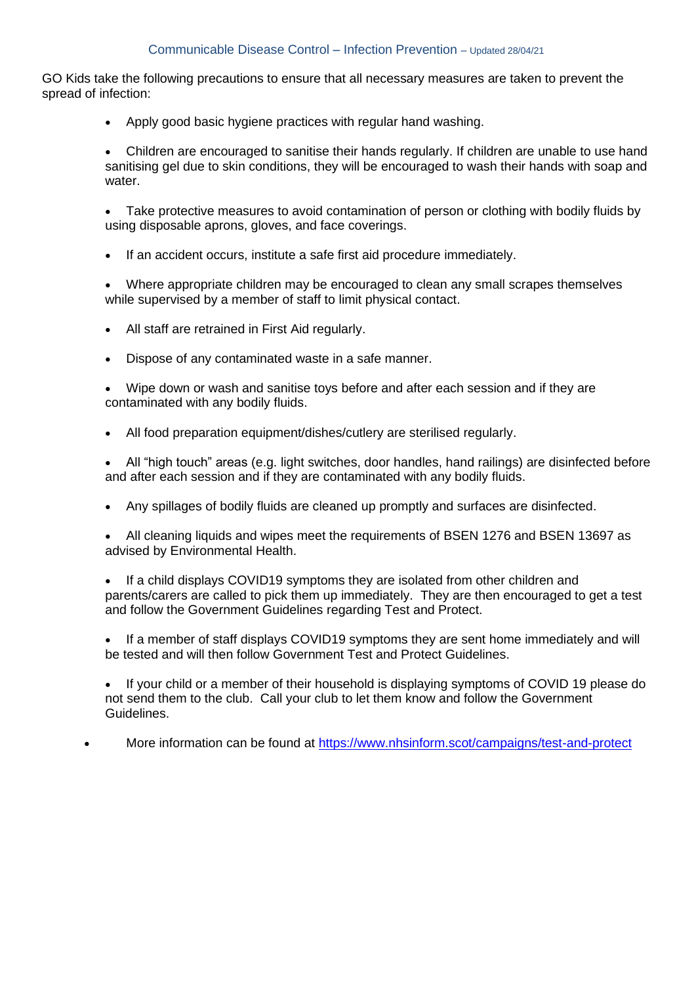## Communicable Disease Control – Infection Prevention – Updated 28/04/21

GO Kids take the following precautions to ensure that all necessary measures are taken to prevent the spread of infection:

- Apply good basic hygiene practices with regular hand washing.
- Children are encouraged to sanitise their hands regularly. If children are unable to use hand sanitising gel due to skin conditions, they will be encouraged to wash their hands with soap and water.

• Take protective measures to avoid contamination of person or clothing with bodily fluids by using disposable aprons, gloves, and face coverings.

- If an accident occurs, institute a safe first aid procedure immediately.
- Where appropriate children may be encouraged to clean any small scrapes themselves while supervised by a member of staff to limit physical contact.
- All staff are retrained in First Aid regularly.
- Dispose of any contaminated waste in a safe manner.
- Wipe down or wash and sanitise toys before and after each session and if they are contaminated with any bodily fluids.
- All food preparation equipment/dishes/cutlery are sterilised regularly.

• All "high touch" areas (e.g. light switches, door handles, hand railings) are disinfected before and after each session and if they are contaminated with any bodily fluids.

- Any spillages of bodily fluids are cleaned up promptly and surfaces are disinfected.
- All cleaning liquids and wipes meet the requirements of BSEN 1276 and BSEN 13697 as advised by Environmental Health.

If a child displays COVID19 symptoms they are isolated from other children and parents/carers are called to pick them up immediately. They are then encouraged to get a test and follow the Government Guidelines regarding Test and Protect.

• If a member of staff displays COVID19 symptoms they are sent home immediately and will be tested and will then follow Government Test and Protect Guidelines.

• If your child or a member of their household is displaying symptoms of COVID 19 please do not send them to the club. Call your club to let them know and follow the Government Guidelines.

• More information can be found at <https://www.nhsinform.scot/campaigns/test-and-protect>